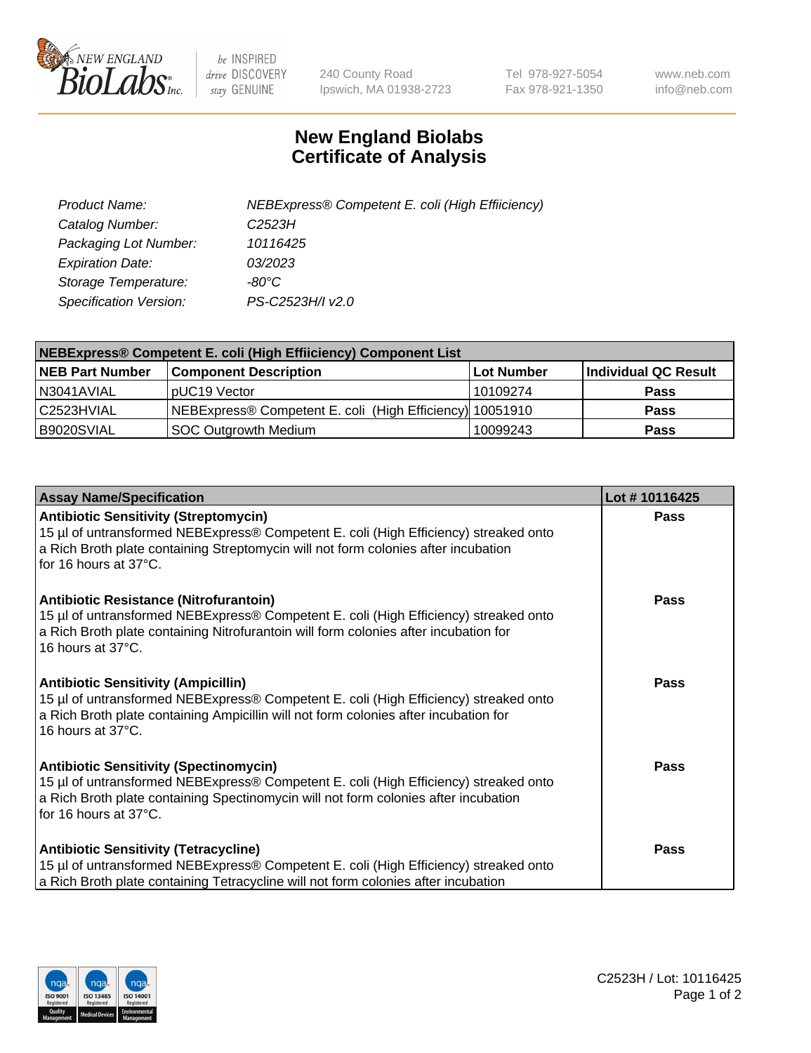

 $be$  INSPIRED drive DISCOVERY stay GENUINE

240 County Road Ipswich, MA 01938-2723 Tel 978-927-5054 Fax 978-921-1350 www.neb.com info@neb.com

## **New England Biolabs Certificate of Analysis**

| Product Name:           | NEBExpress® Competent E. coli (High Effiiciency) |
|-------------------------|--------------------------------------------------|
| Catalog Number:         | C2523H                                           |
| Packaging Lot Number:   | 10116425                                         |
| <b>Expiration Date:</b> | 03/2023                                          |
| Storage Temperature:    | -80°C                                            |
| Specification Version:  | PS-C2523H/I v2.0                                 |

| NEBExpress® Competent E. coli (High Effiiciency) Component List |                                                          |            |                      |  |
|-----------------------------------------------------------------|----------------------------------------------------------|------------|----------------------|--|
| <b>NEB Part Number</b>                                          | <b>Component Description</b>                             | Lot Number | Individual QC Result |  |
| N3041AVIAL                                                      | pUC19 Vector                                             | 10109274   | <b>Pass</b>          |  |
| l C2523HVIAL                                                    | NEBExpress® Competent E. coli (High Efficiency) 10051910 |            | <b>Pass</b>          |  |
| B9020SVIAL                                                      | <b>SOC Outgrowth Medium</b>                              | 10099243   | <b>Pass</b>          |  |

| <b>Assay Name/Specification</b>                                                                                                                                                                                                                       | Lot #10116425 |
|-------------------------------------------------------------------------------------------------------------------------------------------------------------------------------------------------------------------------------------------------------|---------------|
| <b>Antibiotic Sensitivity (Streptomycin)</b><br>15 µl of untransformed NEBExpress® Competent E. coli (High Efficiency) streaked onto<br>a Rich Broth plate containing Streptomycin will not form colonies after incubation<br>for 16 hours at 37°C.   | <b>Pass</b>   |
| Antibiotic Resistance (Nitrofurantoin)<br>15 µl of untransformed NEBExpress® Competent E. coli (High Efficiency) streaked onto<br>a Rich Broth plate containing Nitrofurantoin will form colonies after incubation for<br>16 hours at 37°C.           | Pass          |
| <b>Antibiotic Sensitivity (Ampicillin)</b><br>15 µl of untransformed NEBExpress® Competent E. coli (High Efficiency) streaked onto<br>a Rich Broth plate containing Ampicillin will not form colonies after incubation for<br>16 hours at 37°C.       | Pass          |
| <b>Antibiotic Sensitivity (Spectinomycin)</b><br>15 µl of untransformed NEBExpress® Competent E. coli (High Efficiency) streaked onto<br>a Rich Broth plate containing Spectinomycin will not form colonies after incubation<br>for 16 hours at 37°C. | Pass          |
| <b>Antibiotic Sensitivity (Tetracycline)</b><br>15 µl of untransformed NEBExpress® Competent E. coli (High Efficiency) streaked onto<br>a Rich Broth plate containing Tetracycline will not form colonies after incubation                            | Pass          |